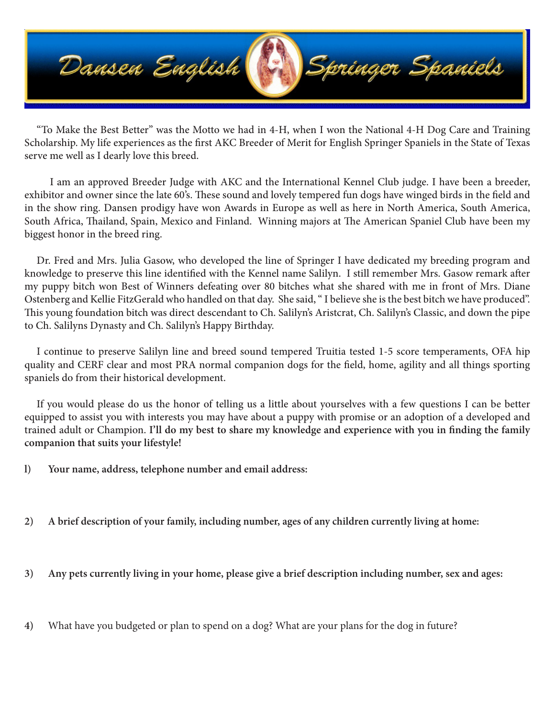

"To Make the Best Better" was the Motto we had in 4-H, when I won the National 4-H Dog Care and Training Scholarship. My life experiences as the first AKC Breeder of Merit for English Springer Spaniels in the State of Texas serve me well as I dearly love this breed.

 I am an approved Breeder Judge with AKC and the International Kennel Club judge. I have been a breeder, exhibitor and owner since the late 60's. These sound and lovely tempered fun dogs have winged birds in the field and in the show ring. Dansen prodigy have won Awards in Europe as well as here in North America, South America, South Africa, Thailand, Spain, Mexico and Finland. Winning majors at The American Spaniel Club have been my biggest honor in the breed ring.

Dr. Fred and Mrs. Julia Gasow, who developed the line of Springer I have dedicated my breeding program and knowledge to preserve this line identified with the Kennel name Salilyn. I still remember Mrs. Gasow remark after my puppy bitch won Best of Winners defeating over 80 bitches what she shared with me in front of Mrs. Diane Ostenberg and Kellie FitzGerald who handled on that day. She said, " I believe she is the best bitch we have produced". This young foundation bitch was direct descendant to Ch. Salilyn's Aristcrat, Ch. Salilyn's Classic, and down the pipe to Ch. Salilyns Dynasty and Ch. Salilyn's Happy Birthday.

I continue to preserve Salilyn line and breed sound tempered Truitia tested 1-5 score temperaments, OFA hip quality and CERF clear and most PRA normal companion dogs for the field, home, agility and all things sporting spaniels do from their historical development.

If you would please do us the honor of telling us a little about yourselves with a few questions I can be better equipped to assist you with interests you may have about a puppy with promise or an adoption of a developed and trained adult or Champion. **I'll do my best to share my knowledge and experience with you in finding the family companion that suits your lifestyle!** 

- **l) Your name, address, telephone number and email address:**
- **2) A brief description of your family, including number, ages of any children currently living at home:**
- **3) Any pets currently living in your home, please give a brief description including number, sex and ages:**
- **4)** What have you budgeted or plan to spend on a dog? What are your plans for the dog in future?